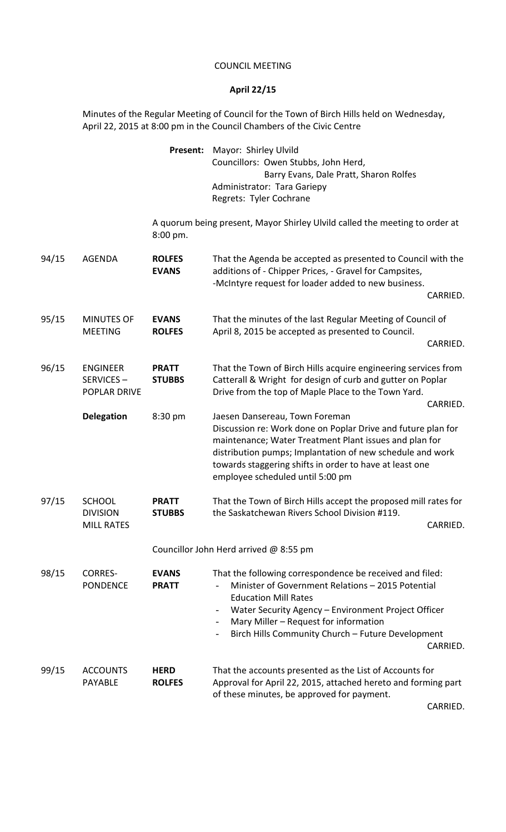## COUNCIL MEETING

## **April 22/15**

Minutes of the Regular Meeting of Council for the Town of Birch Hills held on Wednesday, April 22, 2015 at 8:00 pm in the Council Chambers of the Civic Centre

|       |                                                       | Present:                      | Mayor: Shirley Ulvild<br>Councillors: Owen Stubbs, John Herd,<br>Barry Evans, Dale Pratt, Sharon Rolfes<br>Administrator: Tara Gariepy<br>Regrets: Tyler Cochrane                                                                                                                                                    |
|-------|-------------------------------------------------------|-------------------------------|----------------------------------------------------------------------------------------------------------------------------------------------------------------------------------------------------------------------------------------------------------------------------------------------------------------------|
|       |                                                       | 8:00 pm.                      | A quorum being present, Mayor Shirley Ulvild called the meeting to order at                                                                                                                                                                                                                                          |
| 94/15 | <b>AGENDA</b>                                         | <b>ROLFES</b><br><b>EVANS</b> | That the Agenda be accepted as presented to Council with the<br>additions of - Chipper Prices, - Gravel for Campsites,<br>-McIntyre request for loader added to new business.<br>CARRIED.                                                                                                                            |
| 95/15 | <b>MINUTES OF</b><br><b>MEETING</b>                   | <b>EVANS</b><br><b>ROLFES</b> | That the minutes of the last Regular Meeting of Council of<br>April 8, 2015 be accepted as presented to Council.<br>CARRIED.                                                                                                                                                                                         |
| 96/15 | <b>ENGINEER</b><br>SERVICES-<br><b>POPLAR DRIVE</b>   | <b>PRATT</b><br><b>STUBBS</b> | That the Town of Birch Hills acquire engineering services from<br>Catterall & Wright for design of curb and gutter on Poplar<br>Drive from the top of Maple Place to the Town Yard.<br>CARRIED.                                                                                                                      |
|       | <b>Delegation</b>                                     | 8:30 pm                       | Jaesen Dansereau, Town Foreman<br>Discussion re: Work done on Poplar Drive and future plan for<br>maintenance; Water Treatment Plant issues and plan for<br>distribution pumps; Implantation of new schedule and work<br>towards staggering shifts in order to have at least one<br>employee scheduled until 5:00 pm |
| 97/15 | <b>SCHOOL</b><br><b>DIVISION</b><br><b>MILL RATES</b> | <b>PRATT</b><br><b>STUBBS</b> | That the Town of Birch Hills accept the proposed mill rates for<br>the Saskatchewan Rivers School Division #119.<br>CARRIED.                                                                                                                                                                                         |
|       |                                                       |                               | Councillor John Herd arrived @ 8:55 pm                                                                                                                                                                                                                                                                               |
| 98/15 | <b>CORRES-</b><br><b>PONDENCE</b>                     | <b>EVANS</b><br><b>PRATT</b>  | That the following correspondence be received and filed:<br>Minister of Government Relations - 2015 Potential<br><b>Education Mill Rates</b><br>Water Security Agency - Environment Project Officer<br>Mary Miller - Request for information<br>Birch Hills Community Church - Future Development<br>CARRIED.        |
| 99/15 | <b>ACCOUNTS</b><br><b>PAYABLE</b>                     | <b>HERD</b><br><b>ROLFES</b>  | That the accounts presented as the List of Accounts for<br>Approval for April 22, 2015, attached hereto and forming part<br>of these minutes, be approved for payment.                                                                                                                                               |

CARRIED.